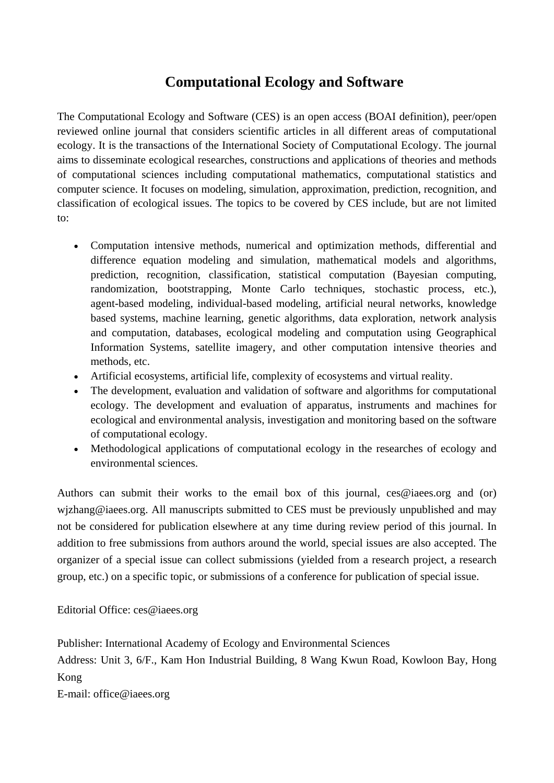## **Computational Ecology and Software**

The Computational Ecology and Software (CES) is an open access (BOAI definition), peer/open reviewed online journal that considers scientific articles in all different areas of computational ecology. It is the transactions of the International Society of Computational Ecology. The journal aims to disseminate ecological researches, constructions and applications of theories and methods of computational sciences including computational mathematics, computational statistics and computer science. It focuses on modeling, simulation, approximation, prediction, recognition, and classification of ecological issues. The topics to be covered by CES include, but are not limited to:

- Computation intensive methods, numerical and optimization methods, differential and difference equation modeling and simulation, mathematical models and algorithms, prediction, recognition, classification, statistical computation (Bayesian computing, randomization, bootstrapping, Monte Carlo techniques, stochastic process, etc.), agent-based modeling, individual-based modeling, artificial neural networks, knowledge based systems, machine learning, genetic algorithms, data exploration, network analysis and computation, databases, ecological modeling and computation using Geographical Information Systems, satellite imagery, and other computation intensive theories and methods, etc.
- Artificial ecosystems, artificial life, complexity of ecosystems and virtual reality.
- The development, evaluation and validation of software and algorithms for computational ecology. The development and evaluation of apparatus, instruments and machines for ecological and environmental analysis, investigation and monitoring based on the software of computational ecology.
- Methodological applications of computational ecology in the researches of ecology and environmental sciences.

Authors can submit their works to the email box of this journal, ces@iaees.org and (or) wjzhang@iaees.org. All manuscripts submitted to CES must be previously unpublished and may not be considered for publication elsewhere at any time during review period of this journal. In addition to free submissions from authors around the world, special issues are also accepted. The organizer of a special issue can collect submissions (yielded from a research project, a research group, etc.) on a specific topic, or submissions of a conference for publication of special issue.

Editorial Office: ces@iaees.org

Publisher: International Academy of Ecology and Environmental Sciences

Address: Unit 3, 6/F., Kam Hon Industrial Building, 8 Wang Kwun Road, Kowloon Bay, Hong Kong

E-mail: office@iaees.org